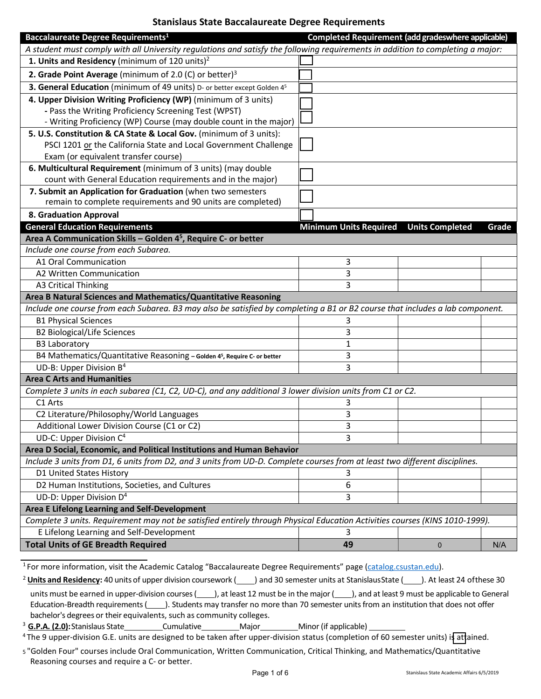## **Stanislaus State Baccalaureate Degree Requirements**

| Baccalaureate Degree Requirements <sup>1</sup>                                                                                  | Completed Requirement (add gradeswhere applicable) |                        |       |
|---------------------------------------------------------------------------------------------------------------------------------|----------------------------------------------------|------------------------|-------|
| A student must comply with all University regulations and satisfy the following requirements in addition to completing a major: |                                                    |                        |       |
| 1. Units and Residency (minimum of 120 units) <sup>2</sup>                                                                      |                                                    |                        |       |
| 2. Grade Point Average (minimum of 2.0 (C) or better) $3$                                                                       |                                                    |                        |       |
| 3. General Education (minimum of 49 units) D- or better except Golden 45                                                        |                                                    |                        |       |
| 4. Upper Division Writing Proficiency (WP) (minimum of 3 units)                                                                 |                                                    |                        |       |
| - Pass the Writing Proficiency Screening Test (WPST)                                                                            |                                                    |                        |       |
| - Writing Proficiency (WP) Course (may double count in the major)                                                               |                                                    |                        |       |
| 5. U.S. Constitution & CA State & Local Gov. (minimum of 3 units):                                                              |                                                    |                        |       |
| PSCI 1201 or the California State and Local Government Challenge                                                                |                                                    |                        |       |
| Exam (or equivalent transfer course)                                                                                            |                                                    |                        |       |
| 6. Multicultural Requirement (minimum of 3 units) (may double                                                                   |                                                    |                        |       |
| count with General Education requirements and in the major)                                                                     |                                                    |                        |       |
| 7. Submit an Application for Graduation (when two semesters                                                                     |                                                    |                        |       |
| remain to complete requirements and 90 units are completed)                                                                     |                                                    |                        |       |
| <b>8. Graduation Approval</b>                                                                                                   |                                                    |                        |       |
| <b>General Education Requirements</b>                                                                                           | <b>Minimum Units Required</b>                      | <b>Units Completed</b> | Grade |
| Area A Communication Skills - Golden 4 <sup>5</sup> , Require C- or better                                                      |                                                    |                        |       |
| Include one course from each Subarea.                                                                                           |                                                    |                        |       |
| A1 Oral Communication                                                                                                           | 3                                                  |                        |       |
| A2 Written Communication                                                                                                        | 3                                                  |                        |       |
| <b>A3 Critical Thinking</b>                                                                                                     | 3                                                  |                        |       |
| Area B Natural Sciences and Mathematics/Quantitative Reasoning                                                                  |                                                    |                        |       |
| Include one course from each Subarea. B3 may also be satisfied by completing a B1 or B2 course that includes a lab component.   |                                                    |                        |       |
| <b>B1 Physical Sciences</b>                                                                                                     | 3                                                  |                        |       |
| <b>B2 Biological/Life Sciences</b>                                                                                              | 3                                                  |                        |       |
| <b>B3 Laboratory</b>                                                                                                            | 1                                                  |                        |       |
| B4 Mathematics/Quantitative Reasoning - Golden 45, Require C- or better                                                         | 3                                                  |                        |       |
| UD-B: Upper Division B <sup>4</sup>                                                                                             | 3                                                  |                        |       |
| <b>Area C Arts and Humanities</b>                                                                                               |                                                    |                        |       |
| Complete 3 units in each subarea (C1, C2, UD-C), and any additional 3 lower division units from C1 or C2.                       |                                                    |                        |       |
| C1 Arts                                                                                                                         | 3                                                  |                        |       |
| C2 Literature/Philosophy/World Languages                                                                                        | 3                                                  |                        |       |
| Additional Lower Division Course (C1 or C2)                                                                                     | 3                                                  |                        |       |
| UD-C: Upper Division C <sup>4</sup>                                                                                             | 3                                                  |                        |       |
| Area D Social, Economic, and Political Institutions and Human Behavior                                                          |                                                    |                        |       |
| Include 3 units from D1, 6 units from D2, and 3 units from UD-D. Complete courses from at least two different disciplines.      |                                                    |                        |       |
| D1 United States History                                                                                                        | 3                                                  |                        |       |
| D2 Human Institutions, Societies, and Cultures                                                                                  | 6                                                  |                        |       |
| UD-D: Upper Division D <sup>4</sup>                                                                                             | 3                                                  |                        |       |
| Area E Lifelong Learning and Self-Development                                                                                   |                                                    |                        |       |
| Complete 3 units. Requirement may not be satisfied entirely through Physical Education Activities courses (KINS 1010-1999).     |                                                    |                        |       |
| E Lifelong Learning and Self-Development                                                                                        | 3                                                  |                        |       |
| <b>Total Units of GE Breadth Required</b>                                                                                       | 49                                                 | 0                      | N/A   |

1 For more information, visit the Academic Catalog "Baccalaureate Degree Requirements" pag[e \(catalog.csustan.edu\)](https://catalog.csustan.edu/).

<span id="page-0-1"></span><span id="page-0-0"></span><sup>&</sup>lt;sup>2</sup> Units and Residency: 40 units of upper division coursework (
a) and 30 semester units at StanislausState (
). At least 24 of these 30 units must be earned in upper-division courses (), at least 12 must be in the major (), and at least 9 must be applicable to General Education-Breadth requirements (). Students may transfer no more than 70 semester units from an institution that does not offer bachelor's degrees or their equivalents, such as community colleges.

<sup>&</sup>lt;sup>3</sup> G.P.A. (2.0): Stanislaus State Cumulative Major Major Minor (if applicable)

<span id="page-0-2"></span><sup>&</sup>lt;sup>4</sup> The 9 upper-division G.E. units are designed to be taken after upper-division status (completion of 60 semester units) is attained.

<span id="page-0-3"></span><sup>5 &</sup>quot;Golden Four" courses include Oral Communication, Written Communication, Critical Thinking, and Mathematics/Quantitative Reasoning courses and require a C- or better.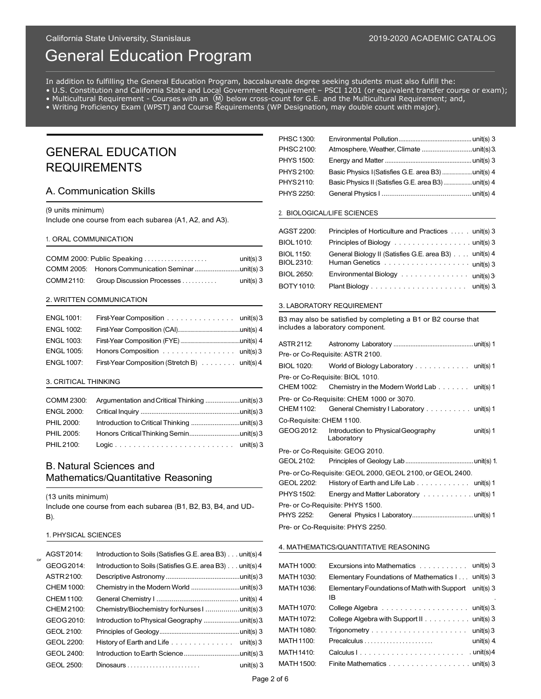# General Education Program

In addition to fulfilling the General Education Program, baccalaureate degree seeking students must also fulfill the:

• U.S. Constitution and California State and Local Government Requirement – PSCI 1201 (or equivalent transfer course or exam);

- Multicultural Requirement Courses with an  $\omega$  below cross-count for G.E. and the Multicultural Requirement; and,
- Writing Proficiency Exam (WPST) and Course Requirements (WP Designation, may double count with major).

## GENERAL EDUCATION REQUIREMENTS

## A. Communication Skills

(9 units minimum)

Include one course from each subarea (A1, A2, and A3).

#### 1. ORAL COMMUNICATION

| COMM 2000: Public Speaking            | unit(s) $3$ | <b>BIOL 1150:</b><br>BIOL 2310: | General Biology II (Satisfies G.E. area B3)                               |
|---------------------------------------|-------------|---------------------------------|---------------------------------------------------------------------------|
|                                       |             | <b>BIOL 2650:</b>               | $\blacksquare$ Environmental Biology $\ldots \ldots \ldots \ldots \ldots$ |
| COMM 2110: Group Discussion Processes | unit(s) $3$ | <b>DOTV1010:</b>                | Dlopt Diology                                                             |

#### 2. WRITTEN COMMUNICATION

| <b>ENGL 1001:</b> | First-Year Composition unit(s) 3             |  |
|-------------------|----------------------------------------------|--|
| <b>ENGL 1002:</b> |                                              |  |
| <b>ENGL 1003:</b> |                                              |  |
| <b>ENGL 1005:</b> | Honors Composition unit(s) 3                 |  |
| <b>ENGL 1007:</b> | First-Year Composition (Stretch B) unit(s) 4 |  |

#### 3. CRITICAL THINKING

| <b>PHIL 2000:</b> |  |
|-------------------|--|
| <b>PHIL 2005:</b> |  |
| <b>PHIL 2100:</b> |  |

## B. Natural Sciences and Mathematics/Quantitative Reasoning

(13 units minimum)

Include one course from each subarea (B1, B2, B3, B4, and UD‐ B).

#### 1. PHYSICAL SCIENCES

| or | AGST 2014: | Introduction to Soils (Satisfies G.E. area B3) unit(s) 4                 |                   |                                             |
|----|------------|--------------------------------------------------------------------------|-------------------|---------------------------------------------|
|    | GEOG 2014: | Introduction to Soils (Satisfies G.E. area B3) unit(s) 4                 | <b>MATH 1000:</b> | Excursions into Mathematics                 |
|    | ASTR 2100: |                                                                          | <b>MATH 1030:</b> | Elementary Foundations of Mathematics I     |
|    | CHEM 1000: |                                                                          | MATH 1036:        | Elementary Foundations of Math with Support |
|    | CHEM 1100: |                                                                          |                   | IB                                          |
|    | CHEM 2100: |                                                                          | <b>MATH 1070:</b> |                                             |
|    | GEOG 2010: |                                                                          | <b>MATH 1072:</b> | College Algebra with Support II             |
|    | GEOL 2100: |                                                                          | MATH 1080:        |                                             |
|    | GEOL 2200: | History of Earth and Life $\ldots \ldots \ldots \ldots \ldots$ unit(s) 3 | <b>MATH 1100:</b> |                                             |
|    | GEOL 2400: |                                                                          | <b>MATH 1410:</b> |                                             |
|    | GEOL 2500: | unit(s) $3$                                                              | MATH 1500:        | Finite Mathematics                          |
|    |            |                                                                          |                   |                                             |

| PHSC 1300: |                                                    |  |
|------------|----------------------------------------------------|--|
| PHSC 2100: |                                                    |  |
| PHYS 1500: |                                                    |  |
| PHYS 2100: | Basic Physics I (Satisfies G.E. area B3) unit(s) 4 |  |
| PHYS2110:  |                                                    |  |
| PHYS 2250: |                                                    |  |
|            |                                                    |  |

#### 2. BIOLOGICAL/LIFE SCIENCES

| 1. ORAL COMMUNICATION |                                                           | AGST 2200:       | Principles of Horticulture and Practices  unit(s) 3                      |                                                       |  |
|-----------------------|-----------------------------------------------------------|------------------|--------------------------------------------------------------------------|-------------------------------------------------------|--|
|                       |                                                           | <b>BIOL1010:</b> | Principles of Biology $\ldots \ldots \ldots \ldots \ldots \ldots \ldots$ |                                                       |  |
|                       | COMM 2000: Public Speaking $\ldots$ , $\ldots$ , $\ldots$ | unit(s) $3$      | <b>BIOL 1150:</b><br><b>BIOL 2310:</b>                                   | General Biology II (Satisfies G.E. area B3) unit(s) 4 |  |
| COMM 2110:            | Group Discussion Processes                                |                  | <b>BIOL 2650:</b>                                                        | Environmental Biology unit(s) 3                       |  |
|                       |                                                           | unit(s) $3$      | <b>BOTY1010:</b>                                                         |                                                       |  |

#### 3. LABORATORY REQUIREMENT

B3 may also be satisfied by completing a B1 or B2 course that includes a laboratory component.

| unit(s) 4 | ASTR 2112:               |                                                                       |
|-----------|--------------------------|-----------------------------------------------------------------------|
| unit(s) 3 |                          | Pre- or Co-Requisite: ASTR 2100.                                      |
| unit(s) 4 | <b>BIOL 1020:</b>        | World of Biology Laboratory unit(s) 1                                 |
|           |                          | Pre- or Co-Requisite: BIOL 1010.                                      |
|           | CHEM 1002:               | Chemistry in the Modern World Lab $\ldots \ldots \ldots$ unit(s) 1    |
| unit(s)3  |                          | Pre- or Co-Requisite: CHEM 1000 or 3070.                              |
| unit(s)3  | CHEM 1102:               | General Chemistry I Laboratory unit(s) 1                              |
| unit(s)3  | Co-Requisite: CHEM 1100. |                                                                       |
| unit(s) 3 | GEOG 2012:               | Introduction to Physical Geography<br>unit(s) $1$                     |
| unit(s) 3 |                          | Laboratory                                                            |
|           |                          | Pre- or Co-Requisite: GEOG 2010.                                      |
|           | GEOL 2102:               |                                                                       |
|           |                          | Pre- or Co-Requisite: GEOL 2000, GEOL 2100, or GEOL 2400.             |
|           | GEOL 2202:               | History of Earth and Life Lab $\ldots \ldots \ldots \ldots$ unit(s) 1 |
|           | PHYS 1502:               | Energy and Matter Laboratory unit(s) 1                                |
| UD-       |                          | Pre- or Co-Requisite: PHYS 1500.                                      |
|           | <b>PHYS 2252:</b>        |                                                                       |
|           |                          | Pre- or Co-Requisite: PHYS 2250.                                      |

#### 4. MATHEMATICS/QUANTITATIVE REASONING

| MATH 1000:        | Excursions into Mathematics $\ldots \ldots \ldots \ldots$ unit(s) 3  |               |
|-------------------|----------------------------------------------------------------------|---------------|
| MATH 1030:        | Elementary Foundations of Mathematics I unit(s) 3                    |               |
| MATH 1036:        | Elementary Foundations of Math with Support unit(s) 3<br>IB          |               |
| MATH 1070:        |                                                                      |               |
| MATH 1072:        | College Algebra with Support II unit(s) 3                            |               |
| MATH 1080:        |                                                                      |               |
| MATH 1100:        |                                                                      | unit(s) $4$ . |
| MATH 1410:        |                                                                      |               |
| <b>MATH 1500:</b> | Finite Mathematics $\dots \dots \dots \dots \dots \dots \dots \dots$ |               |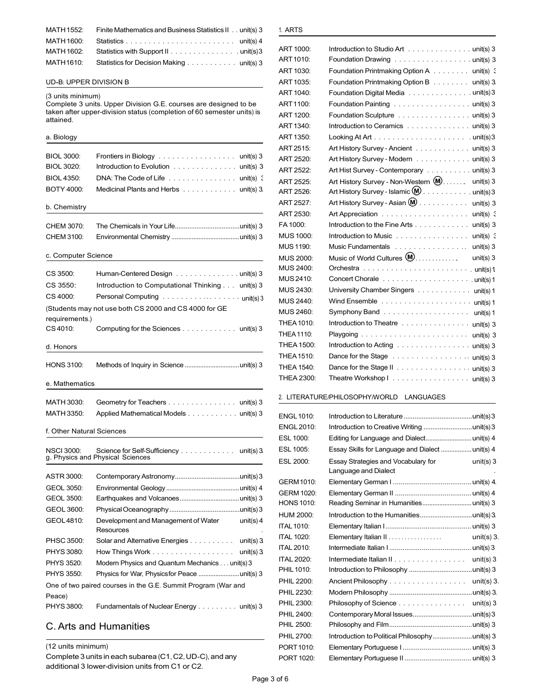| MATH 1552: | Finite Mathematics and Business Statistics II . unit(s) 3 |
|------------|-----------------------------------------------------------|
| MATH 1600: |                                                           |
| MATH 1602: | Statistics with Support II unit(s) 3                      |
| MATH 1610: | Statistics for Decision Making unit(s) 3                  |

#### UD**‐**B: UPPER DIVISION B

#### (3 units minimum)

Complete 3 units. Upper Division G.E. courses are designed to be taken after upper-division status (completion of 60 semester units) is attained.

## BIOL 3000: Frontiers in Biology . . . . . . . . . . . . . . . . unit(s) 3 BIOL 3020: Introduction to Evolution . . . . . . . . . . . . . unit(s) 3 BIOL 4350: DNA: The Code of Life . . . . . . . . . . . . . . unit(s) 3 BOTY 4000: Medicinal Plants and Herbs . . . . . . . . . . . unit(s) 3. . . . . . CHEM 3070: The Chemicals in Your Life....................................unit(s) 3 . . . . . CHEM 3100: Environmental Chemistry ........................................unit(s) 3 CS 3500: Human-Centered Design . . . . . . . . . . . . . unit(s) 3 CS 3550: Introduction to Computational Thinking . . . unit(s) 3 CS 4010: Computing for the Sciences . . . . . . . . . . . . unit(s) 3 . . . . . HONS 3100: Methods of Inquiry in Science ................................unit(s) 3 MATH 3030: Geometry for Teachers . . . . . . . . . . . . . . unit(s) 3 MATH 3350: Applied Mathematical Models . . . . . . . . . . . unit(s) 3 NSCI 3000: Science for Self-Sufficiency . . . . . . . . . . . unit(s) 3 . . . . . ASTR 3000: Contemporary Astronomy....................................unit(s)3 . . . . . GEOL 3050: Environmental Geology ...........................................unit(s) 4 . . . . . GEOL 3500: Earthquakes and Volcanoes...................................unit(s) 3 . . . . . . GEOL 3600: PhysicalOceanography.......................................unit(s)3 . . . . . PHSC <sup>3500</sup>: Solar and Alternative Energies . . . . . . . . . . unit(s) 3. ITAL <sup>1020</sup>: Elementary Italian II . . . . . . . . . . . . . . . . . unit(s) 3. . . . . . PHYS3080: How Things Work . . . . . . . . . . . . . . . . . . unit(s) 3. ITAL <sup>2010</sup>: Intermediate Italian I........................................... unit(s) <sup>3</sup> . . . . . PHYS 3520: Modern Physics and Quantum Mechanics . . . unit(s)<sup>3</sup> ITAL <sup>2020</sup>: Intermediate Italian II . . . . . . . . . . . . . . . . unit(s) <sup>3</sup> . . . . . PHYS <sup>3550</sup>: Physics for War, Physicsfor Peace ........................unit(s) <sup>3</sup> PHIL1010: Introduction to Philosophy ...................................unit(s) <sup>3</sup> PHIL 2300: Fundamentals of Nuclear Energy . . . . . . . . unit(s) 3 PHIL 2300: Philosophy of Science . . . . . . . . . . . . . . . . . unit(s) 3 a. Biology b. Chemistry c. Computer Science  $CS$  4000: Personal Computing  $\ldots \ldots \ldots \ldots \ldots \ldots \ldots$ (Students may not use both CS 2000 and CS 4000 for GE requirements.) d. Honors e. Mathematics f. Other Natural Sciences g. Physics and Physical Sciences **ESL 2000: ESL 2000: ESL 2000: ESL 2000: ESL 2000: ESL 2000:** ES GEOL4810: Development and Management of Water unit(s) 4 **Resources** One of two paired courses in the G.E. Summit Program (War and PHIL <sup>2200</sup>: Ancient Philosophy . . . . . . . . . . . . . . . . . unit(s) 3. Peace) PHIL <sup>2230</sup>: Modern Philosophy ..............................................unit(s) <sup>3</sup>.

## C. Arts and Humanities

(12 units minimum)

Complete 3 units in each subarea (C1,C2,UD‐C), and any additional 3 lower-division units from C1 or C2.

#### 1. ARTS

| ART 1000:         | Introduction to Studio Art unit(s) 3                               |
|-------------------|--------------------------------------------------------------------|
| ART1010:          | Foundation Drawing unit(s) 3                                       |
| ART 1030:         | Foundation Printmaking Option A unit(s) 3                          |
| ART 1035:         | Foundation Printmaking Option B unit(s) 3                          |
| ART 1040:         | Foundation Digital Media unit(s) 3                                 |
| ART1100:          | Foundation Painting unit(s) 3                                      |
| ART 1200:         | Foundation Sculpture unit(s) 3                                     |
| ART 1340:         | Introduction to Ceramics unit(s) 3                                 |
| ART 1350:         |                                                                    |
| ART 2515:         | Art History Survey - Ancient unit(s) 3                             |
| ART 2520:         | Art History Survey - Modern unit(s) 3                              |
| <b>ART 2522:</b>  | Art Hist Survey - Contemporary unit(s) 3                           |
| ART 2525:         | Art History Survey - Non-Western (M)<br>$unit(s)$ 3                |
| ART 2526:         | Art History Survey - Islamic (M) unit(s) 3                         |
| ART 2527:         | Art History Survey - Asian (M) unit(s) 3                           |
| ART 2530:         |                                                                    |
| FA 1000:          | Introduction to the Fine Arts unit(s) 3                            |
| MUS 1000:         | Introduction to Music<br>unit(s) $\in$                             |
| MUS 1190:         | Music Fundamentals<br>unit(s) $3$                                  |
| MUS 2000:         | Music of World Cultures $(\!\!\mathsf{M}\!)$<br>unit(s) $3$        |
| MUS 2400:         |                                                                    |
| MUS 2410:         |                                                                    |
| MUS 2430:         | University Chamber Singers unit(s) 1                               |
| MUS 2440:         |                                                                    |
| MUS 2460:         | Symphony Band unit(s) 1                                            |
| THEA 1010:        | Introduction to Theatre unit(s) 3                                  |
| THEA 1110:        |                                                                    |
| THEA 1500:        | Introduction to Acting $\ldots \ldots \ldots \ldots \ldots \ldots$ |
| <b>THEA 1510:</b> | Dance for the Stage unit(s) 3                                      |
| THEA 1540:        | Dance for the Stage II unit(s) 3                                   |
| THEA 2300:        | Theatre Workshop I unit(s) 3                                       |

#### 2. LITERATURE/PHILOSOPHY/WORLD LANGUAGES

| <b>ENGL 1010:</b> |                                                                            |  |
|-------------------|----------------------------------------------------------------------------|--|
| <b>ENGL 2010:</b> | Introduction to Creative Writing unit(s) 3                                 |  |
| ESL 1000:         | Editing for Language and Dialect unit(s) 4                                 |  |
| ESL 1005:         | Essay Skills for Language and Dialect  unit(s) 4                           |  |
| ESL 2000:         | Essay Strategies and Vocabulary for<br>unit(s) $3$<br>Language and Dialect |  |
| GERM 1010:        |                                                                            |  |
| GERM 1020:        |                                                                            |  |
| <b>HONS 1010:</b> | Reading Seminar in Humanitiesunit(s) 3                                     |  |
| <b>HUM 2000:</b>  | Introduction to the Humanitiesunit(s) 3.                                   |  |
| <b>ITAL 1010:</b> |                                                                            |  |
| <b>ITAL 1020:</b> | unit(s) $3$                                                                |  |
| <b>ITAL 2010:</b> |                                                                            |  |
| <b>ITAL 2020:</b> | Intermediate Italian II<br>unit(s) $3$                                     |  |
| PHIL 1010:        |                                                                            |  |
| PHIL 2200:        | Ancient Philosophy<br>unit(s) $3$                                          |  |
| PHIL 2230:        |                                                                            |  |
| PHIL 2300:        | Philosophy of Science<br>unit(s) $3$                                       |  |
| PHIL 2400:        |                                                                            |  |
| <b>PHIL 2500:</b> |                                                                            |  |
| PHIL 2700:        |                                                                            |  |
| PORT 1010:        |                                                                            |  |
| PORT 1020:        |                                                                            |  |
|                   |                                                                            |  |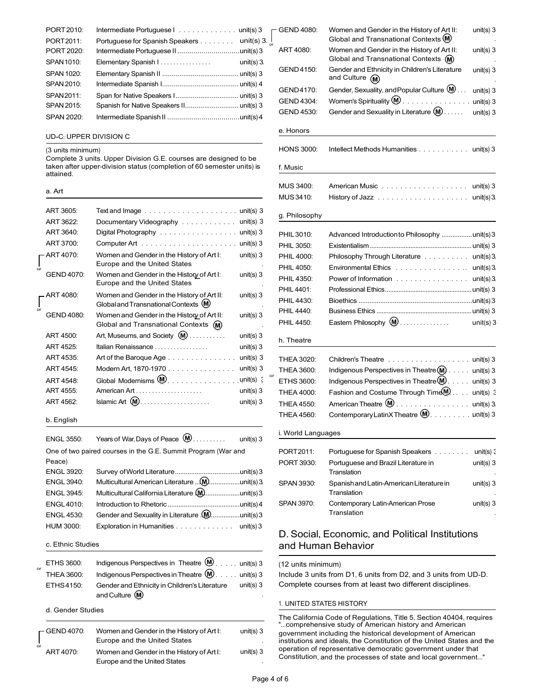| PORT 2010:        | Intermediate Portuguese $1, \ldots, \ldots, \ldots$ unit(s) 3 |               | $\overline{C}$ GEND 4080: | Women and Gender in the History of Art II:                         |
|-------------------|---------------------------------------------------------------|---------------|---------------------------|--------------------------------------------------------------------|
| PORT2011:         | Portuguese for Spanish Speakers unit(s) 3. $\frac{1}{x}$      |               |                           | Global and Transnational Contexts (M)                              |
| PORT 2020:        |                                                               |               | ART 4080:                 | Women and Gender in the History of Art II:                         |
| SPAN 1010:        | Elementary Spanish I.                                         | unit(s) $3$ . |                           | Global and Transnational Contexts $(M)$                            |
| SPAN 1020:        |                                                               |               | GEND4150:                 | Gender and Ethnicity in Children's Literature<br>and Culture $(M)$ |
| <b>SPAN 2010:</b> |                                                               |               |                           | Gender, Sexuality, and Popular Culture $\mathbf{\omega}$ .         |
| SPAN 2011:        |                                                               |               | GEND4170:                 | Women's Spirituality $\mathbf{W}$                                  |
| <b>SPAN 2015:</b> |                                                               |               | GEND 4304:                |                                                                    |
| SPAN 2020:        |                                                               |               | <b>GEND 4530:</b>         | Gender and Sexuality in Literature $(\mathbf{M})$                  |
|                   |                                                               |               |                           |                                                                    |

#### UD**‐**C: UPPER DIVISION C

#### (3 units minimum)

### a. Art

|    | ART 3605:         |                                                                                     |                            | g. Philoso               |
|----|-------------------|-------------------------------------------------------------------------------------|----------------------------|--------------------------|
|    | ART 3622:         | Documentary Videography unit(s) 3                                                   |                            |                          |
|    | ART 3640:         | Digital Photography unit(s) 3                                                       |                            | <b>PHIL3010</b>          |
|    | ART 3700:         | Computer Art $\dots \dots \dots \dots \dots \dots \dots \dots \dots$                |                            | PHIL 3050:               |
|    | ART 4070:         | Women and Gender in the History of Art I:                                           | unit(s) $3$                | <b>PHIL 4000</b>         |
| or |                   | Europe and the United States                                                        |                            | <b>PHIL 4050</b>         |
|    | GEND 4070:        | Women and Gender in the History of Art I:<br>Europe and the United States           | unit(s) $3$                | <b>PHIL4350</b>          |
|    |                   |                                                                                     |                            | PHIL 4401:               |
|    | ART 4080:         | Women and Gender in the History of Art II:<br>Global and Transnational Contexts (M) | unit(s) $3$                | <b>PHIL 4430</b>         |
| or | <b>GEND 4080:</b> | Women and Gender in the History of Art II:                                          | unit(s) $3$                | <b>PHIL 4440:</b>        |
|    |                   | Global and Transnational Contexts (M)                                               |                            | <b>PHIL 4450:</b>        |
|    | ART 4500:         | Art, Museums, and Society (M)                                                       | unit(s) $3$                | h. Theatre               |
|    | ART 4525:         | Italian Renaissance                                                                 | unit(s) $3$                |                          |
|    | ART 4535:         | Art of the Baroque Age                                                              | unit(s) $3$                | <b>THEA 302</b>          |
|    | ART 4545:         | Modern Art, 1870-1970                                                               | unit(s) $3$                | <b>THEA 360</b>          |
|    | ART 4548:         | Global Modernisms $(\mathbf{M})$                                                    | or<br>unit(s) $\therefore$ | <b>ETHS 360</b>          |
|    | ART 4555:         |                                                                                     | unit(s) $3$                | <b>THEA 400</b>          |
|    | ART 4562:         | $Islamic Art (M)$                                                                   | unit(s) $3$                | <b>THEA 455</b>          |
|    | b. English        |                                                                                     |                            | <b>THEA 456</b>          |
|    |                   |                                                                                     |                            | i. World La              |
|    | <b>ENGL 3550:</b> | Years of War, Days of Peace $(\mathbf{M})$                                          | unit(s) $3$                |                          |
|    |                   | One of two paired courses in the G.E. Summit Program (War and                       |                            | PORT2011                 |
|    | Peace)            |                                                                                     |                            | <b>PORT 393</b>          |
|    | <b>ENGL 3920:</b> |                                                                                     |                            |                          |
|    | <b>ENGL 3940:</b> | Multicultural American Literature  (M)unit(s) 3                                     |                            | <b>SPAN 393</b>          |
|    | <b>ENGL 3945:</b> |                                                                                     |                            |                          |
|    | <b>ENGL4010:</b>  |                                                                                     |                            | <b>SPAN 3970</b>         |
|    | <b>ENGL 4530:</b> | Gender and Sexuality in Literature $\langle M \rangle$ unit(s) 3                    |                            |                          |
|    | HUM 3000:         | Exploration in Humanities unit(s) 3                                                 |                            | D. Soci                  |
|    | c. Ethnic Studies |                                                                                     | and Hu                     |                          |
|    | ETHS 3600:        | Indigenous Perspectives in Theatre (M) unit(s) 3                                    |                            |                          |
| or | <b>THEA 3600:</b> | Indigenous Perspectives in Theatre (M) unit(s) 3                                    |                            | (12 units r<br>Include 3 |
|    |                   |                                                                                     |                            |                          |

| <b>THEA 3600:</b> | Indigenous Perspectives in Theatre $(\mathbf{M})$ unit(s) 3 |             |
|-------------------|-------------------------------------------------------------|-------------|
| ETHS4150:         | Gender and Ethnicity in Children's Literature               | unit(s) $3$ |
|                   | and Culture (M)                                             |             |

#### d. Gender Studies

| $\Gamma$ GEND 4070: | Women and Gender in the History of Art I:<br>Europe and the United States | unit(s) $3$ |
|---------------------|---------------------------------------------------------------------------|-------------|
| or<br>ART 4070:     | Women and Gender in the History of Art I:                                 | unit(s) $3$ |
|                     | Europe and the United States                                              |             |

| PORT 2010:             |                                                                                                                                            |               | <b>GEND 4080:</b>        | Women and Gender in the History of Art II:                         | unit(s) $3$      |
|------------------------|--------------------------------------------------------------------------------------------------------------------------------------------|---------------|--------------------------|--------------------------------------------------------------------|------------------|
| PORT2011:              | Portuguese for Spanish Speakers unit(s) 3. $\frac{1}{\alpha}$                                                                              |               |                          | Global and Transnational Contexts (M)                              |                  |
| PORT 2020:             |                                                                                                                                            |               | ART 4080:                | Women and Gender in the History of Art II:                         | unit(s) $3$      |
| SPAN 1010:             | Elementary Spanish I                                                                                                                       | unit(s) $3$ . |                          | Global and Transnational Contexts (M)                              |                  |
| SPAN 1020:             |                                                                                                                                            |               | GEND4150:                | Gender and Ethnicity in Children's Literature<br>and Culture $(M)$ | unit(s) $3$      |
| <b>SPAN 2010:</b>      |                                                                                                                                            |               | GEND4170:                | Gender, Sexuality, and Popular Culture $(\!\!\mathsf{M}\!)$        |                  |
| SPAN 2011:             |                                                                                                                                            |               | GEND 4304:               | Women's Spirituality $(\mathbf{M})$                                | unit(s) $3$      |
| SPAN 2015:             |                                                                                                                                            |               | <b>GEND 4530:</b>        | Gender and Sexuality in Literature $(\mathbf{M})$                  | unit(s) $3$      |
| SPAN 2020:             |                                                                                                                                            |               |                          |                                                                    | unit(s) $3$      |
| UD-C: UPPER DIVISION C |                                                                                                                                            |               | e. Honors                |                                                                    |                  |
| (3 units minimum)      |                                                                                                                                            |               | <b>HONS 3000:</b>        | Intellect Methods Humanities unit(s) 3                             |                  |
| attained.              | Complete 3 units. Upper Division G.E. courses are designed to be<br>taken after upper-division status (completion of 60 semester units) is |               | f. Music                 |                                                                    |                  |
|                        |                                                                                                                                            |               | <b>MUS 3400:</b>         |                                                                    | unit(s) $3$      |
| a. Art                 |                                                                                                                                            |               | MUS 3410:                |                                                                    |                  |
| ART 3605:              |                                                                                                                                            |               |                          |                                                                    |                  |
| ART 3622:              | Documentary Videography unit(s) 3                                                                                                          |               | g. Philosophy            |                                                                    |                  |
| ART 3640:              | Digital Photography unit(s) 3                                                                                                              |               | PHIL 3010:               | Advanced Introduction to Philosophy unit(s) 3                      |                  |
| ART 3700:              |                                                                                                                                            | unit(s) $3$   | PHIL 3050:               |                                                                    |                  |
| ART 4070:              | Women and Gender in the History of Art I:<br>Europe and the United States                                                                  | unit(s) $3$   | <b>PHIL 4000:</b>        | Philosophy Through Literature unit(s) 3.                           |                  |
| GEND 4070:             | Women and Gender in the History of Art I:<br>Europe and the United States                                                                  | unit(s) $3$   | PHIL 4050:<br>PHIL 4350: | Environmental Ethics unit(s) 3.<br>Power of Information unit(s) 3. |                  |
| ART 4080:              | Women and Gender in the History of Art II:<br>Global and Transnational Contexts (M)                                                        | unit(s) $3$   | PHIL 4401:<br>PHIL 4430: |                                                                    |                  |
| GEND 4080:             | Women and Gender in the History of Art II:                                                                                                 | unit(s) $3$   | PHIL 4440:<br>PHIL 4450: | Eastern Philosophy $(\textbf{M})$                                  | unit(s) $3$      |
| ART 4500:              | Global and Transnational Contexts (M)<br>Art, Museums, and Society (M)                                                                     | unit(s) $3$   |                          |                                                                    |                  |
| ART 4525:              | Italian Renaissance                                                                                                                        | unit(s) $3$   | h. Theatre               |                                                                    |                  |
| ART 4535:              | Art of the Baroque Age                                                                                                                     | unit(s) $3$   |                          |                                                                    |                  |
| ART 4545:              | Modern Art, 1870-1970                                                                                                                      | unit(s) $3$   | <b>THEA 3020:</b>        |                                                                    | unit(s) $3$      |
| ART 4548:              | Global Modernisms (M).                                                                                                                     | or<br>unit(s) | <b>THEA 3600:</b>        | Indigenous Perspectives in Theatre (M)                             | unit(s) $3$      |
| ART 4555:              | American Art                                                                                                                               | unit(s) $3$   | ETHS 3600:               | Indigenous Perspectives in Theatre $(\mathbf{M})$                  | unit(s) $3$      |
| ART 4562:              |                                                                                                                                            | unit(s) $3$   | <b>THEA 4000:</b>        | Fashion and Costume Through Time <sup>(M)</sup>                    | unit(s) $\in$    |
|                        |                                                                                                                                            |               | <b>THEA 4550:</b>        | American Theatre M.                                                | unit(s) $3$      |
| b. English             |                                                                                                                                            |               | THEA 4560:               | ContemporaryLatinXTheatre (M).                                     | $unit(s)$ 3      |
| ENGL 3550:             | Years of War, Days of Peace $\omega$ .<br>1.1.1.1.1.1                                                                                      | unit(s) $3$   | i. World Languages       |                                                                    |                  |
|                        | One of two paired courses in the G.E. Summit Program (War and                                                                              |               | PORT2011:                | Portuguese for Spanish Speakers                                    | unit(s) $\colon$ |
| Peace)                 |                                                                                                                                            |               | PORT 3930:               | Portuguese and Brazil Literature in                                | unit(s) $3$      |
| ENGL 3920:             |                                                                                                                                            |               |                          | Translation                                                        |                  |
| ENGL 3940:             |                                                                                                                                            |               | SPAN 3930:               | Spanish and Latin-American Literature in                           | unit(s) $3$      |
| ENGL 3945:             |                                                                                                                                            |               |                          | Translation                                                        |                  |
| ENGL 4010:             |                                                                                                                                            |               | SPAN 3970:               | Contemporary Latin-American Prose                                  | unit(s) $3$      |
| ENGL 4530:             |                                                                                                                                            |               |                          | Translation                                                        |                  |
| HI IM 3000.            | Exploration in Humanities                                                                                                                  | $unit(s)$ 3   |                          |                                                                    |                  |

## D. Social, Economic, and Political Institutions and Human Behavior

#### (12 units minimum)

Include 3 units from D1, 6 units from D2, and 3 units from UD‐D. Complete courses from at least two different disciplines.

#### 1. UNITED STATES HISTORY

The California Code of Regulations, Title 5, Section 40404, requires "...comprehensive study of American history and American government including the historical development of American institutions and ideals, the Constitution of the United States and the operation of representative democratic government under that Constitution, and the processes of state and local government..."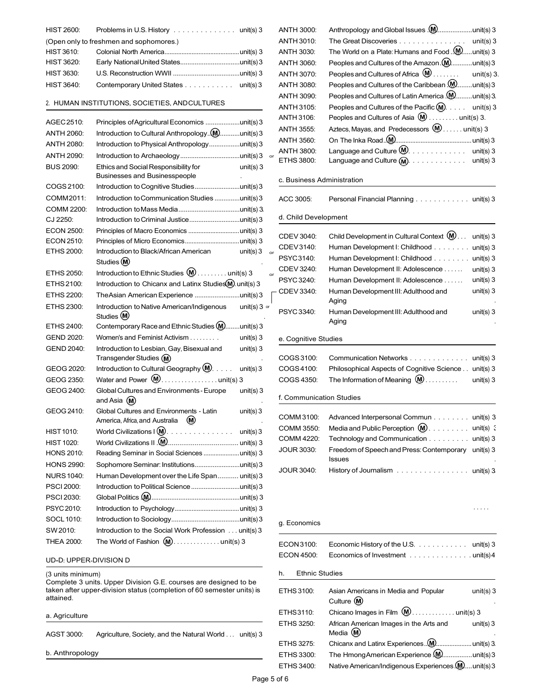| <b>HIST 2600:</b> | Problems in U.S. History $\ldots \ldots \ldots \ldots \ldots$ unit(s) 3 | ANTH 3000: |                                                                |
|-------------------|-------------------------------------------------------------------------|------------|----------------------------------------------------------------|
|                   | (Open only to freshmen and sophomores.)                                 | ANTH 3010: | The Great Discoveries unit(s) 3                                |
| <b>HIST 3610:</b> |                                                                         | ANTH 3030: | The World on a Plate: Humans and Food . $\mathbf{M}$ unit(s) 3 |
| <b>HIST 3620:</b> |                                                                         | ANTH 3060: | Peoples and Cultures of the Amazon (M)unit(s) 3                |
| <b>HIST 3630:</b> |                                                                         | ANTH 3070: | Peoples and Cultures of Africa $\mathbf{M}$<br>unit(s) 3.      |
| HIST 3640:        | Contemporary United States unit(s) 3                                    | ANTH 3080: | Peoples and Cultures of the Caribbean (Munit(s) 3              |

| AGEC 2510:        | Principles of Agricultural Economics unit(s) 3                              |    | AN I H 3100.               | Peoples and Cultures of Asia $\mathbf{w}$ unit(s) 3.                 |  |
|-------------------|-----------------------------------------------------------------------------|----|----------------------------|----------------------------------------------------------------------|--|
| <b>ANTH 2060:</b> | Introduction to Cultural Anthropology(M)unit(s) 3                           |    | ANTH 3555:                 | Aztecs, Mayas, and Predecessors $(\mathbf{M})$ unit(s) 3             |  |
| <b>ANTH 2080:</b> | Introduction to Physical Anthropologyunit(s) 3                              |    | ANTH 3560:                 |                                                                      |  |
| <b>ANTH 2090:</b> |                                                                             |    | <b>ANTH 3800:</b>          | Language and Culture $(M)$ . unit(s) 3                               |  |
| <b>BUS 2090:</b>  | Ethics and Social Responsibility for<br>unit(s) $3$                         |    | ETHS 3800:                 | unit(s) $3$                                                          |  |
|                   | <b>Businesses and Businesspeople</b>                                        |    | c. Business Administration |                                                                      |  |
| COGS 2100:        | Introduction to Cognitive Studiesunit(s) 3                                  |    |                            |                                                                      |  |
| COMM2011:         | Introduction to Communication Studies unit(s) 3                             |    | ACC 3005:                  | Personal Financial Planning unit(s) 3                                |  |
| COMM 2200:        |                                                                             |    |                            |                                                                      |  |
| CJ 2250:          | Introduction to Criminal Justiceunit(s) 3                                   |    | d. Child Development       |                                                                      |  |
| <b>ECON 2500:</b> |                                                                             |    |                            |                                                                      |  |
| ECON 2510:        |                                                                             |    | CDEV 3040:                 | Child Development in Cultural Context (M)<br>$unit(s)$ 3             |  |
| ETHS 2000:        | Introduction to Black/African American<br>unit(s) $3$ or                    |    | CDEV3140:                  | Human Development I: Childhood<br>$unit(s)$ 3                        |  |
|                   | Studies (M)                                                                 |    | PSYC3140:                  | unit(s) $3$<br>Human Development I: Childhood                        |  |
| ETHS 2050:        | Introduction to Ethnic Studies $(\mathbf{M})$ unit(s) 3                     | or | CDEV 3240:                 | Human Development II: Adolescence<br>$unit(s)$ 3                     |  |
| ETHS 2100:        | Introduction to Chicanx and Latinx Studies M. unit(s) 3                     |    | PSYC 3240:                 | $unit(s)$ 3<br>Human Development II: Adolescence                     |  |
| ETHS 2200:        | The Asian American Experience unit(s) 3                                     |    | CDEV 3340:                 | Human Development III: Adulthood and<br>unit(s) 3                    |  |
| ETHS 2300:        | Introduction to Native American/Indigenous<br>$unit(s)$ 3 or<br>Studies (M) |    | PSYC 3340:                 | Aging<br>Human Development III: Adulthood and<br>unit(s) 3           |  |
| ETHS 2400:        | Contemporary Race and Ethnic Studies (M)<br>.unit(s) $3$                    |    |                            | Aging                                                                |  |
| <b>GEND 2020:</b> | Women's and Feminist Activism<br>unit(s) $3$                                |    | e. Cognitive Studies       |                                                                      |  |
| <b>GEND 2040:</b> | Introduction to Lesbian, Gay, Bisexual and<br>unit(s) $3$                   |    |                            |                                                                      |  |
|                   | Transgender Studies (M)                                                     |    | COGS 3100:                 | Communication Networks unit(s) 3                                     |  |
| GEOG 2020:        | Introduction to Cultural Geography (M).<br>unit(s) $3$                      |    | COGS4100:                  | Philosophical Aspects of Cognitive Science unit(s) 3                 |  |
| GEOG 2350:        | Water and Power $(\mathbf{M})$ unit(s) 3                                    |    | COGS 4350:                 | The Information of Meaning $(\mathsf{M})$<br>$unit(s)$ 3             |  |
| GEOG 2400:        | Global Cultures and Environments - Europe<br>unit(s) $3$<br>and Asia (M)    |    | f. Communication Studies   |                                                                      |  |
| GEOG 2410:        | Global Cultures and Environments - Latin<br>unit(s) $3$                     |    |                            |                                                                      |  |
|                   | America, Africa, and Australia (M)                                          |    | COMM 3100:                 | Advanced Interpersonal Commun unit(s) 3                              |  |
| <b>HIST 1010:</b> |                                                                             |    | COMM 3550:                 | Media and Public Perception $(M)$ unit(s) :                          |  |
| <b>HIST 1020:</b> |                                                                             |    | COMM 4220:                 | Technology and Communication unit(s) 3                               |  |
| <b>HONS 2010:</b> | Reading Seminar in Social Sciences unit(s) 3                                |    | <b>JOUR 3030:</b>          | Freedom of Speech and Press: Contemporary unit(s) 3<br><b>Issues</b> |  |
| <b>HONS 2990:</b> | Sophomore Seminar: Institutionsunit(s) 3                                    |    | <b>JOUR 3040:</b>          |                                                                      |  |
| <b>NURS 1040:</b> | Human Development over the Life Span unit(s) 3                              |    |                            | History of Journalism unit(s) 3                                      |  |
| <b>PSCI 2000:</b> |                                                                             |    |                            |                                                                      |  |
| <b>PSCI 2030:</b> |                                                                             |    |                            |                                                                      |  |
| PSYC 2010:        |                                                                             |    |                            |                                                                      |  |
| SOCL 1010:        |                                                                             |    | g. Economics               |                                                                      |  |
| SW 2010:          | Introduction to the Social Work Profession unit(s) 3                        |    |                            |                                                                      |  |
| <b>THEA 2000:</b> | The World of Fashion $(\mathbf{M})$ unit(s) 3                               |    | ECON3100:                  | Economic History of the U.S. $\ldots$ , $\ldots$<br>unit(s) $3$      |  |

#### UD**‐**D: UPPER-DIVISION D

#### (3 units minimum)

ANTH 3030: The World on a Plate: Humans and Food ..**W**......unit(s) 3 ANTH 3060: Peoples and Cultures of the Amazon .**(M**)............unit(s) 3 unit(s)  $3$ . ANTH 3090: Peoples and Cultures of Latin America .(<u>W</u>.........unit(s) 3. . . . . . . 2. HUMAN INSTITUTIONS, SOCIETIES, ANDCULTURES ANTH <sup>3105</sup>: Peoples and Cultures of the Pacific . . . . . . . unit(s) <sup>3</sup> . . . . . AGEC2510: Principles ofAgriculturalEconomics ...................unit(s)<sup>3</sup> ANTH <sup>3106</sup>: Peoples and Cultures of Asia . . . . . . . . . unit(s) 3. . .  $\textbf{\textsf{M}}$ )  $\dots$  . . . . unit(s)  $3$  $\textsf{ETHS}\,3800: \quad \textsf{Language} \textsf{ and } \textsf{Culture} \textsf{M}\!\textsf{).} \ \ldots \ldots \ldots \ldots \quad \textsf{unit(s)} \, 3$ 

#### c. Business Administration

| COMM2011:                       | Introduction to Communication Studies unit(s) 3                                                  |    | ACC 3005:                | Personal Financial Planning unit(s) 3                                       |
|---------------------------------|--------------------------------------------------------------------------------------------------|----|--------------------------|-----------------------------------------------------------------------------|
| COMM 2200:                      |                                                                                                  |    |                          |                                                                             |
| CJ 2250:                        |                                                                                                  |    | d. Child Development     |                                                                             |
| <b>ECON 2500:</b><br>ECON 2510: |                                                                                                  |    | CDEV 3040:               | Child Development in Cultural Context $(\mathbf{M})$ .<br>unit(s) $3$       |
| ETHS 2000:                      | unit(s) $3$<br>Introduction to Black/African American                                            |    | CDEV3140:                | Human Development I: Childhood<br>unit(s) $3$                               |
|                                 | Studies (M)                                                                                      | or | PSYC3140:                | unit(s) $3$<br>Human Development I: Childhood                               |
| ETHS 2050:                      | Introduction to Ethnic Studies $(\mathbf{M})$ unit(s) 3                                          | or | CDEV 3240:               | Human Development II: Adolescence<br>unit(s) $3$                            |
| ETHS 2100:                      | Introduction to Chicanx and Latinx Studies (M). unit(s) 3                                        |    | PSYC 3240:               | Human Development II: Adolescence<br>unit(s) $3$                            |
| <b>ETHS 2200:</b>               |                                                                                                  |    | CDEV 3340:               | Human Development III: Adulthood and<br>unit(s) $3$<br>Aging                |
| ETHS 2300:                      | Introduction to Native American/Indigenous<br>$unit(s)$ 3 or<br>Studies (M)                      |    | <b>PSYC 3340:</b>        | Human Development III: Adulthood and<br>unit(s) $3$<br>Aging                |
| ETHS 2400:                      | Contemporary Race and Ethnic Studies (M).<br>.unit(s) $3$                                        |    |                          |                                                                             |
| <b>GEND 2020:</b>               | Women's and Feminist Activism<br>unit(s) $3$                                                     |    | e. Cognitive Studies     |                                                                             |
| <b>GEND 2040:</b>               | Introduction to Lesbian, Gay, Bisexual and<br>unit(s) $3$                                        |    |                          |                                                                             |
|                                 | Transgender Studies (M)                                                                          |    | COGS 3100:               | Communication Networks<br>unit(s) $3$                                       |
| GEOG 2020:                      | Introduction to Cultural Geography (M).<br>unit(s) $3$                                           |    | COGS4100:                | Philosophical Aspects of Cognitive Science<br>unit(s) $3$                   |
| GEOG 2350:                      | Water and Power $(\mathbf{M})$ unit(s) 3                                                         |    | COGS 4350:               | The Information of Meaning $(M)$ .<br>unit(s) $3$<br>.                      |
| GEOG 2400:                      | Global Cultures and Environments - Europe<br>unit(s) $3$<br>and Asia $(M)$                       |    | f. Communication Studies |                                                                             |
| GEOG 2410:                      | Global Cultures and Environments - Latin<br>unit(s) $3$<br>America, Africa, and Australia<br>(M) |    | COMM 3100:               | Advanced Interpersonal Commun unit(s) 3                                     |
| <b>HIST 1010:</b>               | World Civilizations $(\mathbf{M})$ .<br>unit(s) $3$                                              |    | COMM 3550:               | Media and Public Perception $(\mathbf{M})$<br>unit(s) {                     |
| HIST 1020:                      |                                                                                                  |    | COMM 4220:               | Technology and Communication<br>unit(s) 3                                   |
| <b>HONS 2010:</b>               | Reading Seminar in Social Sciences unit(s) 3                                                     |    | <b>JOUR 3030:</b>        | Freedom of Speech and Press: Contemporary unit(s) 3                         |
| <b>HONS 2990:</b>               |                                                                                                  |    |                          | <b>Issues</b>                                                               |
| NI IRS 1040 <sup>.</sup>        | Human Develonment over the Life Snan<br>$\left  \right $ in it $\left  \right $ $\left  \right $ |    | <b>JOUR 3040:</b>        | History of Journalism $\ldots \ldots \ldots \ldots \ldots \ldots$ unit(s) 3 |

#### g. Economics

| THEA 2000:                                                                                                                                              | ECON3100:                   | Economic History of the U.S.<br>unit(s) 3                             |
|---------------------------------------------------------------------------------------------------------------------------------------------------------|-----------------------------|-----------------------------------------------------------------------|
| UD-D: UPPER-DIVISION D                                                                                                                                  | <b>ECON 4500:</b>           | Economics of Investment unit(s) 4                                     |
| (3 units minimum)                                                                                                                                       | <b>Ethnic Studies</b><br>h. |                                                                       |
| Complete 3 units. Upper Division G.E. courses are designed to be<br>taken after upper-division status (completion of 60 semester units) is<br>attained. | ETHS 3100:                  | unit(s) $3$<br>Asian Americans in Media and Popular<br>Culture (M)    |
| a. Agriculture                                                                                                                                          | ETHS3110:                   |                                                                       |
| AGST 3000:<br>Agriculture, Society, and the Natural World unit(s) 3                                                                                     | ETHS 3250:                  | African American Images in the Arts and<br>unit(s) $3$<br>Media $(M)$ |
|                                                                                                                                                         | ETHS 3275:                  |                                                                       |
| b. Anthropology                                                                                                                                         | ETHS 3300:                  | The HmongAmerican Experience (Munit(s) 3                              |
|                                                                                                                                                         | ETHS 3400:                  | Native American/Indigenous Experiences (Munit(s) 3                    |